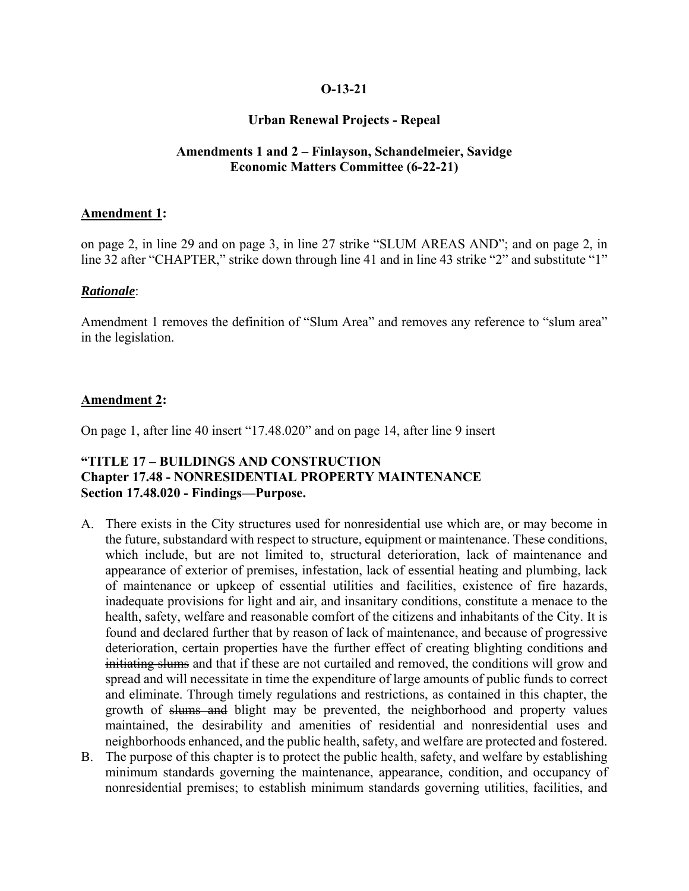## **O-13-21**

## **Urban Renewal Projects - Repeal**

## **Amendments 1 and 2 – Finlayson, Schandelmeier, Savidge Economic Matters Committee (6-22-21)**

#### **Amendment 1:**

on page 2, in line 29 and on page 3, in line 27 strike "SLUM AREAS AND"; and on page 2, in line 32 after "CHAPTER," strike down through line 41 and in line 43 strike "2" and substitute "1"

#### *Rationale*:

Amendment 1 removes the definition of "Slum Area" and removes any reference to "slum area" in the legislation.

#### **Amendment 2:**

On page 1, after line 40 insert "17.48.020" and on page 14, after line 9 insert

## **"TITLE 17 – BUILDINGS AND CONSTRUCTION Chapter 17.48 - NONRESIDENTIAL PROPERTY MAINTENANCE Section 17.48.020 - Findings—Purpose.**

- A. There exists in the City structures used for nonresidential use which are, or may become in the future, substandard with respect to structure, equipment or maintenance. These conditions, which include, but are not limited to, structural deterioration, lack of maintenance and appearance of exterior of premises, infestation, lack of essential heating and plumbing, lack of maintenance or upkeep of essential utilities and facilities, existence of fire hazards, inadequate provisions for light and air, and insanitary conditions, constitute a menace to the health, safety, welfare and reasonable comfort of the citizens and inhabitants of the City. It is found and declared further that by reason of lack of maintenance, and because of progressive deterioration, certain properties have the further effect of creating blighting conditions and initiating slums and that if these are not curtailed and removed, the conditions will grow and spread and will necessitate in time the expenditure of large amounts of public funds to correct and eliminate. Through timely regulations and restrictions, as contained in this chapter, the growth of slums and blight may be prevented, the neighborhood and property values maintained, the desirability and amenities of residential and nonresidential uses and neighborhoods enhanced, and the public health, safety, and welfare are protected and fostered.
- B. The purpose of this chapter is to protect the public health, safety, and welfare by establishing minimum standards governing the maintenance, appearance, condition, and occupancy of nonresidential premises; to establish minimum standards governing utilities, facilities, and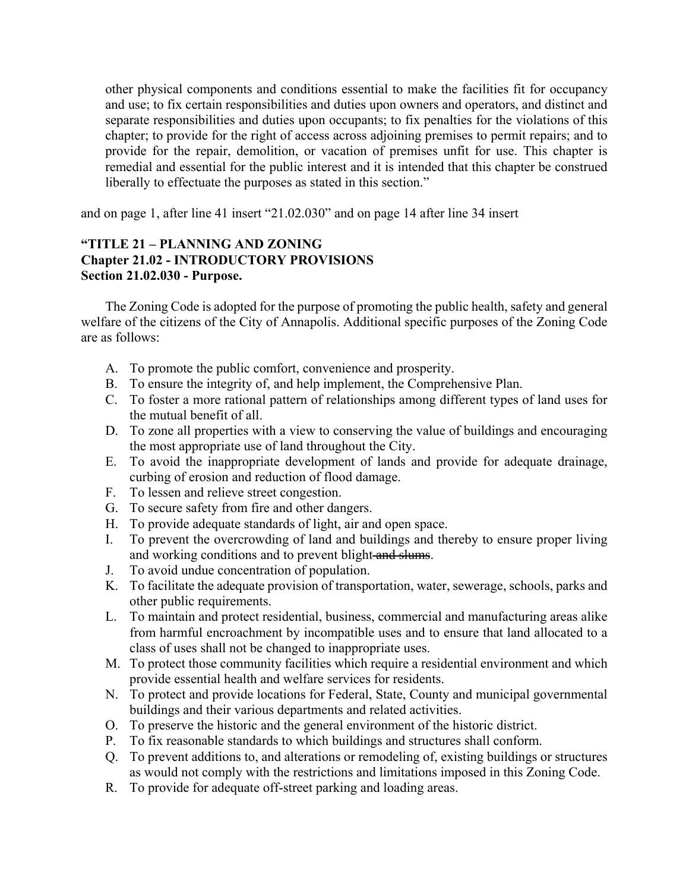other physical components and conditions essential to make the facilities fit for occupancy and use; to fix certain responsibilities and duties upon owners and operators, and distinct and separate responsibilities and duties upon occupants; to fix penalties for the violations of this chapter; to provide for the right of access across adjoining premises to permit repairs; and to provide for the repair, demolition, or vacation of premises unfit for use. This chapter is remedial and essential for the public interest and it is intended that this chapter be construed liberally to effectuate the purposes as stated in this section."

and on page 1, after line 41 insert "21.02.030" and on page 14 after line 34 insert

## **"TITLE 21 – PLANNING AND ZONING Chapter 21.02 - INTRODUCTORY PROVISIONS Section 21.02.030 - Purpose.**

The Zoning Code is adopted for the purpose of promoting the public health, safety and general welfare of the citizens of the City of Annapolis. Additional specific purposes of the Zoning Code are as follows:

- A. To promote the public comfort, convenience and prosperity.
- B. To ensure the integrity of, and help implement, the Comprehensive Plan.
- C. To foster a more rational pattern of relationships among different types of land uses for the mutual benefit of all.
- D. To zone all properties with a view to conserving the value of buildings and encouraging the most appropriate use of land throughout the City.
- E. To avoid the inappropriate development of lands and provide for adequate drainage, curbing of erosion and reduction of flood damage.
- F. To lessen and relieve street congestion.
- G. To secure safety from fire and other dangers.
- H. To provide adequate standards of light, air and open space.
- I. To prevent the overcrowding of land and buildings and thereby to ensure proper living and working conditions and to prevent blight and slums.
- J. To avoid undue concentration of population.
- K. To facilitate the adequate provision of transportation, water, sewerage, schools, parks and other public requirements.
- L. To maintain and protect residential, business, commercial and manufacturing areas alike from harmful encroachment by incompatible uses and to ensure that land allocated to a class of uses shall not be changed to inappropriate uses.
- M. To protect those community facilities which require a residential environment and which provide essential health and welfare services for residents.
- N. To protect and provide locations for Federal, State, County and municipal governmental buildings and their various departments and related activities.
- O. To preserve the historic and the general environment of the historic district.
- P. To fix reasonable standards to which buildings and structures shall conform.
- Q. To prevent additions to, and alterations or remodeling of, existing buildings or structures as would not comply with the restrictions and limitations imposed in this Zoning Code.
- R. To provide for adequate off-street parking and loading areas.